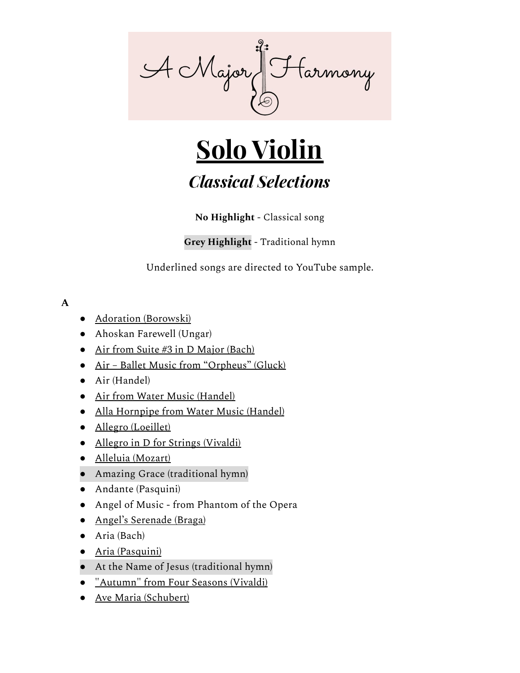

# **Solo Violin**

# *Classical Selections*

**No Highlight** - Classical song

# **Grey Highlight** - Traditional hymn

Underlined songs are directed to YouTube sample.

# **A**

- Adoration [\(Borowski\)](http://youtu.be/PksC_a45ZeE)
- Ahoskan Farewell (Ungar)
- Air from Suite #3 in D [Major](https://youtu.be/EleQhHSIP9k) (Bach)
- Air Ballet Music from ["Orpheus"](http://youtu.be/79ZY-sGjSFE) (Gluck)
- Air (Handel)
- Air from Water Music [\(Handel\)](http://youtu.be/7U8YVsW9I8U)
- Alla [Hornpipe](https://youtu.be/4TbeIl8WERo) from Water Music (Handel)
- Allegro [\(Loeillet\)](http://youtu.be/2UqLuRoWEx8)
- Allegro in D for Strings [\(Vivaldi\)](http://youtu.be/Gw0wuFw-QWI)
- Alleluia [\(Mozart\)](http://youtu.be/G8GWWoxiNrE)
- Amazing Grace (traditional hymn)
- Andante (Pasquini)
- Angel of Music from Phantom of the Opera
- Angel's [Serenade](http://youtu.be/TiaUYR_Qe4E) (Braga)
- Aria (Bach)
- Aria [\(Pasquini\)](http://youtu.be/fEWg0GsbPq0)
- At the Name of Jesus (traditional hymn)
- ["Autumn"](http://youtu.be/hBT31dFvVZA) from Four Seasons (Vivaldi)
- Ave Maria [\(Schubert\)](http://youtu.be/OY0-VNKgLaU)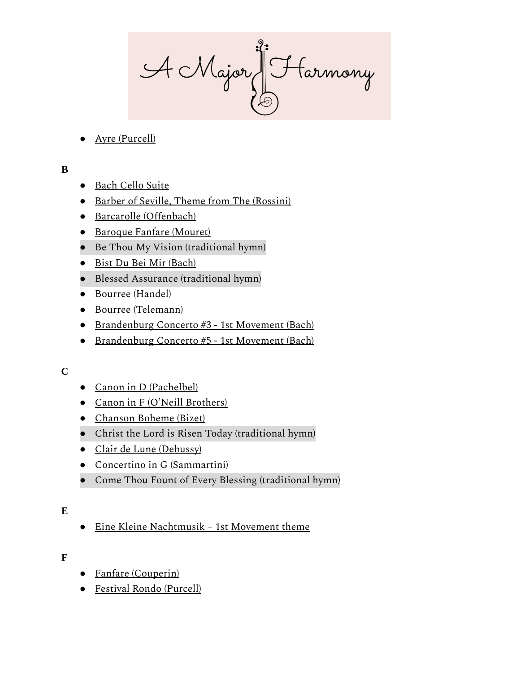A Major Harmony

Ayre [\(Purcell\)](https://youtu.be/i_xXIsfSQnA)

**B**

- Bach [Cello](http://youtu.be/HFYcgiOdOyA) Suite
- Barber of Seville, Theme from The [\(Rossini\)](http://youtu.be/y_XROIglK20?t=5s)
- Barcarolle [\(Offenbach\)](http://youtu.be/g7czptgEvvU)
- Baroque Fanfare [\(Mouret\)](http://youtu.be/RlCxBwQZ46k)
- Be Thou My Vision (traditional hymn)
- Bist Du Bei Mir [\(Bach\)](https://youtu.be/uLu0p-iju24)
- Blessed Assurance (traditional hymn)
- Bourree [\(Handel\)](http://youtu.be/po8BXFLqIZs)
- Bourree (Telemann)
- Brandenburg Concerto #3 1st [Movement \(Bach\)](http://youtu.be/Xq2WTXtKurk)
- Brandenburg Concerto #5 1st [Movement \(Bach\)](http://youtu.be/ZK6-x9sdEYo)

# **C**

- Canon in D [\(Pachelbel\)](http://youtu.be/FUZui0ojYCs)
- Canon in F (O'Neill [Brothers\)](http://youtu.be/gbA2tjmHY1E)
- [Chanson](https://youtu.be/U_HNG0womyY?t=18s) Boheme (Bizet)
- Christ the Lord is Risen Today (traditional hymn)
- Clair de Lune [\(Debussy\)](https://youtu.be/SKd0VII-l3A)
- Concertino in G (Sammartini)
- Come Thou Fount of Every Blessing (traditional hymn)

# **E**

● Eine Kleine Nachtmusik – 1st [Movement theme](http://youtu.be/Qb_jQBgzU-I)

# **F**

- Fanfare [\(Couperin\)](http://youtu.be/88_xL7j9BLk)
- Festival Rondo [\(Purcell\)](http://youtu.be/I0mNAlPjmLA)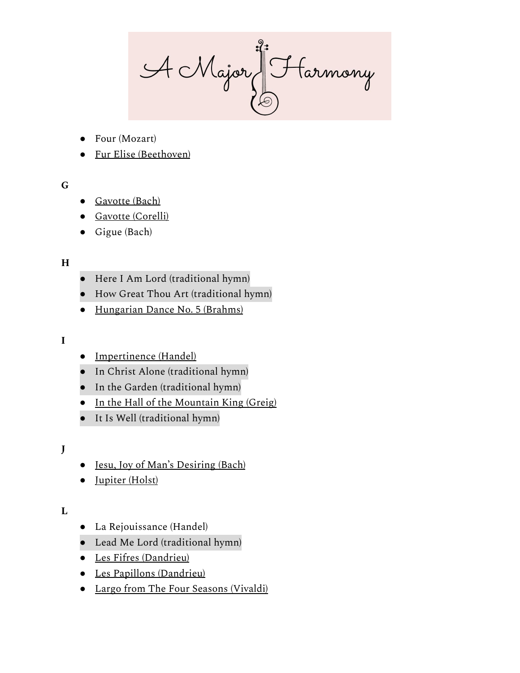A Major Harmony

- Four (Mozart)
- Fur Elise [\(Beethoven\)](http://youtu.be/3whXsLn5m_0)

# **G**

- [Gavotte](http://youtu.be/avtLkIzTJt4) (Bach)
- Gavotte [\(Corelli\)](https://youtu.be/pYMUDfvlc2g?t=3s)
- Gigue (Bach)

# **H**

- Here I Am Lord (traditional hymn)
- How Great Thou Art (traditional hymn)
- [Hungarian](https://youtu.be/3X9LvC9WkkQ) Dance No. 5 (Brahms)

# **I**

- [Impertinence](http://youtu.be/PImQjEI1DfE) (Handel)
- In Christ Alone (traditional hymn)
- In the Garden (traditional hymn)
- In the Hall of the [Mountain](https://youtu.be/y80RUkODr8Q) King (Greig)
- It Is Well (traditional hymn)

# **J**

- Jesu, Joy of Man's [Desiring](http://youtu.be/lwINOcFwTjc?t=13s) (Bach)
- [Jupiter](https://youtu.be/hKq8xsUr5dA) (Holst)

# **L**

- La [Rejouissance](http://youtu.be/64xpVzGYB8Y) (Handel)
- Lead Me Lord (traditional hymn)
- Les Fifres [\(Dandrieu\)](http://youtu.be/MB2mMjRkL8I)
- Les Papillons [\(Dandrieu\)](http://youtu.be/2X17pprHLys)
- Largo from The Four Seasons [\(Vivaldi\)](http://youtu.be/3F1xNM39NAY)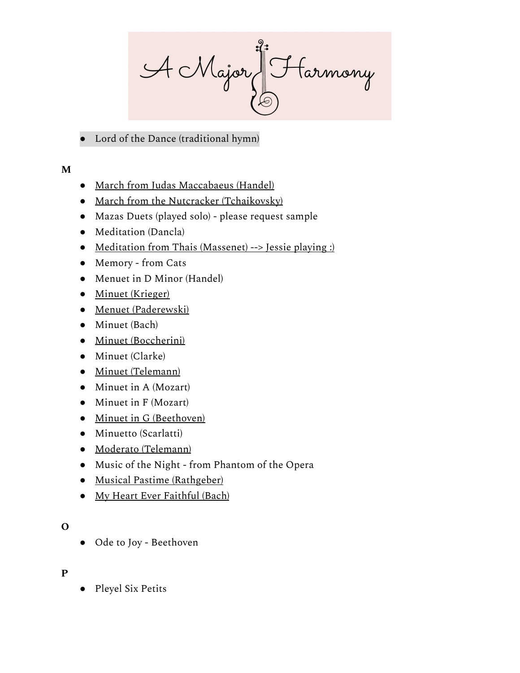AcMajor Starmony

Lord of the Dance (traditional hymn)

**M**

- March from Judas [Maccabaeus](http://youtu.be/EC5Zea69-zo?t=9s) (Handel)
- March from the Nutcracker [\(Tchaikovsky\)](https://youtu.be/J6p5pjDEgSA)
- Mazas Duets (played solo) please request sample
- Meditation (Dancla)
- Meditation from Thais (Massenet) [--> Jessie playing :\)](https://youtu.be/_AptZ-sIpV4)
- Memory from Cats
- Menuet in D Minor (Handel)
- Minuet [\(Krieger\)](http://youtu.be/i76s-4-moWo)
- Menuet [\(Paderewski\)](http://youtu.be/c-zLYxbuGBU)
- Minuet (Bach)
- Minuet [\(Boccherini\)](http://youtu.be/2AZOknKotVc?t=5s)
- Minuet (Clarke)
- Minuet [\(Telemann\)](http://youtu.be/az9t8ggjnAg)
- Minuet in A (Mozart)
- Minuet in F (Mozart)
- Minuet in G [\(Beethoven\)](http://youtu.be/zSXRJwspGU0)
- Minuetto (Scarlatti)
- Moderato [\(Telemann\)](http://youtu.be/dy90dbepAWI)
- Music of the Night from Phantom of the Opera
- Musical Pastime [\(Rathgeber\)](http://youtu.be/95eVFCOmP2Q)
- My Heart Ever [Faithful](http://youtu.be/Xnh3OO1SKxc) (Bach)

# **O**

● Ode to Joy - Beethoven

# **P**

Pleyel Six Petits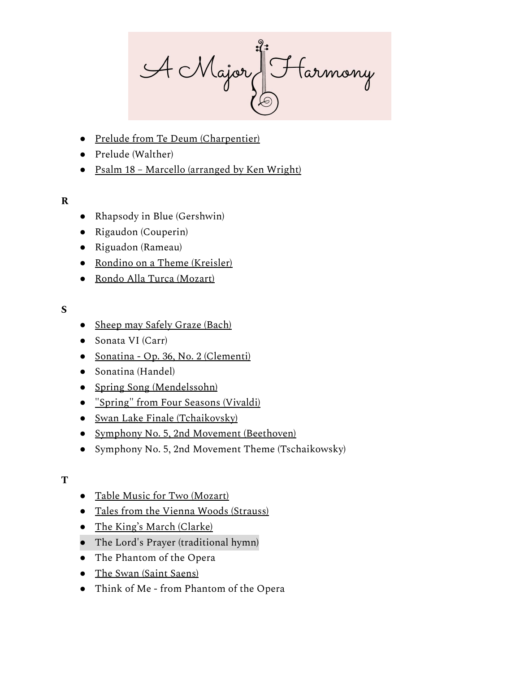AcMajor Starmony

- Prelude from Te Deum [\(Charpentier\)](http://youtu.be/s7exNrmWXyA)
- Prelude (Walther)
- Psalm 18 Marcello (arranged by [Ken Wright\)](http://youtu.be/gdR7AhSgymM)

# **R**

- Rhapsody in Blue (Gershwin)
- Rigaudon (Couperin)
- Riguadon (Rameau)
- Rondino on a Theme [\(Kreisler\)](http://youtu.be/UxBLY9erECg)
- Rondo Alla Turca [\(Mozart\)](http://youtu.be/369_86YUSn4)

# **S**

- Sheep may Safely Graze [\(Bach\)](http://youtu.be/ZIUCRXMM4pE)
- Sonata VI (Carr)
- Sonatina Op. 36, No. 2 [\(Clementi\)](http://youtu.be/eJI10HzoS3Y)
- Sonatina (Handel)
- Spring Song [\(Mendelssohn\)](http://youtu.be/Vn4dcxMIjgE)
- ["Spring"](http://youtu.be/aFHPRi0ZeXE?t=21s) from Four Seasons (Vivaldi)
- Swan Lake Finale [\(Tchaikovsky\)](https://youtu.be/uDOz8kCLoaY)
- Symphony No. 5, 2nd Movement [\(Beethoven\)](https://youtu.be/8yZFoT2ORNQ)
- Symphony No. 5, 2nd Movement Theme (Tschaikowsky)

# **T**

- Table Music for Two [\(Mozart\)](http://youtu.be/zOzk19CUU4o)
- Tales from the Vienna Woods [\(Strauss\)](https://youtu.be/ddAeCn-6oPs)
- The King's March [\(Clarke\)](http://youtu.be/EolVqvL5P3I)
- The Lord's Prayer (traditional hymn)
- The Phantom of the Opera
- The Swan (Saint [Saens\)](http://youtu.be/qt5_d0em_g4)
- Think of Me from Phantom of the Opera